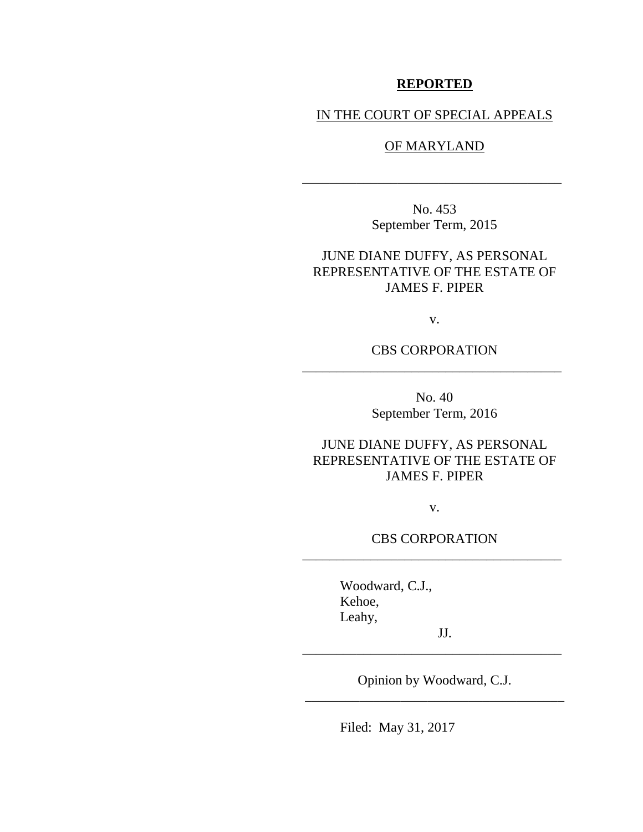# **REPORTED**

## IN THE COURT OF SPECIAL APPEALS

## OF MARYLAND

No. 453 September Term, 2015

\_\_\_\_\_\_\_\_\_\_\_\_\_\_\_\_\_\_\_\_\_\_\_\_\_\_\_\_\_\_\_\_\_\_\_\_\_\_

JUNE DIANE DUFFY, AS PERSONAL REPRESENTATIVE OF THE ESTATE OF JAMES F. PIPER

v.

CBS CORPORATION \_\_\_\_\_\_\_\_\_\_\_\_\_\_\_\_\_\_\_\_\_\_\_\_\_\_\_\_\_\_\_\_\_\_\_\_\_\_

> No. 40 September Term, 2016

JUNE DIANE DUFFY, AS PERSONAL REPRESENTATIVE OF THE ESTATE OF JAMES F. PIPER

v.

CBS CORPORATION \_\_\_\_\_\_\_\_\_\_\_\_\_\_\_\_\_\_\_\_\_\_\_\_\_\_\_\_\_\_\_\_\_\_\_\_\_\_

> Woodward, C.J., Kehoe, Leahy,

Opinion by Woodward, C.J. \_\_\_\_\_\_\_\_\_\_\_\_\_\_\_\_\_\_\_\_\_\_\_\_\_\_\_\_\_\_\_\_\_\_\_\_\_\_

 JJ. \_\_\_\_\_\_\_\_\_\_\_\_\_\_\_\_\_\_\_\_\_\_\_\_\_\_\_\_\_\_\_\_\_\_\_\_\_\_

Filed: May 31, 2017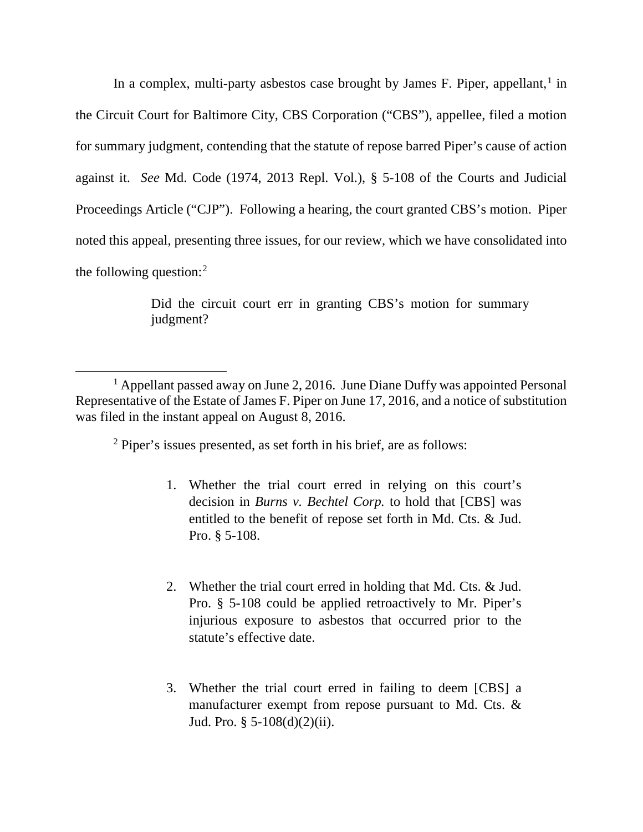In a complex, multi-party asbestos case brought by James F. Piper, appellant,<sup>[1](#page-1-0)</sup> in the Circuit Court for Baltimore City, CBS Corporation ("CBS"), appellee, filed a motion for summary judgment, contending that the statute of repose barred Piper's cause of action against it. *See* Md. Code (1974, 2013 Repl. Vol.), § 5-108 of the Courts and Judicial Proceedings Article ("CJP"). Following a hearing, the court granted CBS's motion. Piper noted this appeal, presenting three issues, for our review, which we have consolidated into the following question:[2](#page-1-1)

> Did the circuit court err in granting CBS's motion for summary judgment?

<sup>2</sup> Piper's issues presented, as set forth in his brief, are as follows:

 $\overline{\phantom{a}}$ 

- 1. Whether the trial court erred in relying on this court's decision in *Burns v. Bechtel Corp.* to hold that [CBS] was entitled to the benefit of repose set forth in Md. Cts. & Jud. Pro. § 5-108.
- 2. Whether the trial court erred in holding that Md. Cts. & Jud. Pro. § 5-108 could be applied retroactively to Mr. Piper's injurious exposure to asbestos that occurred prior to the statute's effective date.
- 3. Whether the trial court erred in failing to deem [CBS] a manufacturer exempt from repose pursuant to Md. Cts. & Jud. Pro.  $\S$  5-108(d)(2)(ii).

<span id="page-1-1"></span><span id="page-1-0"></span><sup>&</sup>lt;sup>1</sup> Appellant passed away on June 2, 2016. June Diane Duffy was appointed Personal Representative of the Estate of James F. Piper on June 17, 2016, and a notice of substitution was filed in the instant appeal on August 8, 2016.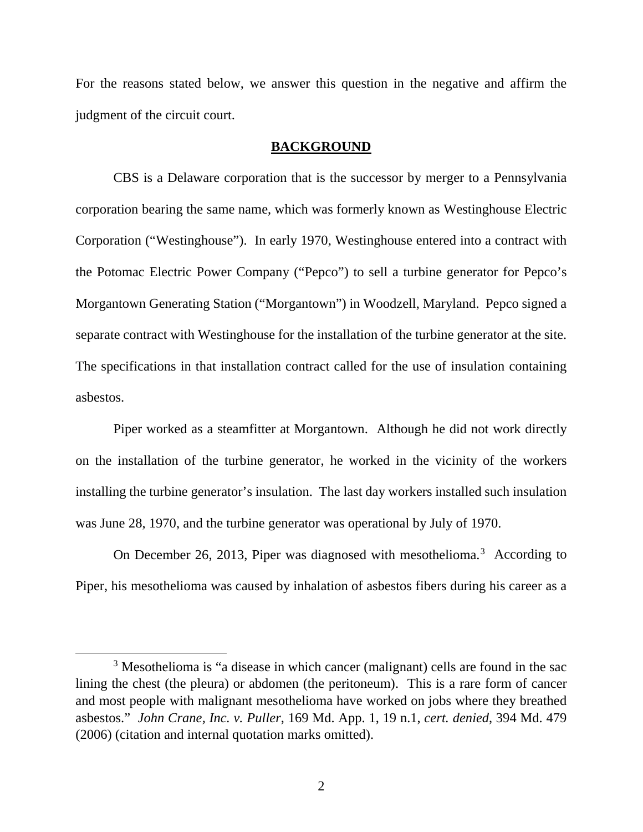For the reasons stated below, we answer this question in the negative and affirm the judgment of the circuit court.

### **BACKGROUND**

CBS is a Delaware corporation that is the successor by merger to a Pennsylvania corporation bearing the same name, which was formerly known as Westinghouse Electric Corporation ("Westinghouse"). In early 1970, Westinghouse entered into a contract with the Potomac Electric Power Company ("Pepco") to sell a turbine generator for Pepco's Morgantown Generating Station ("Morgantown") in Woodzell, Maryland. Pepco signed a separate contract with Westinghouse for the installation of the turbine generator at the site. The specifications in that installation contract called for the use of insulation containing asbestos.

Piper worked as a steamfitter at Morgantown. Although he did not work directly on the installation of the turbine generator, he worked in the vicinity of the workers installing the turbine generator's insulation. The last day workers installed such insulation was June 28, 1970, and the turbine generator was operational by July of 1970.

On December 26, 201[3](#page-2-0), Piper was diagnosed with mesothelioma.<sup>3</sup> According to Piper, his mesothelioma was caused by inhalation of asbestos fibers during his career as a

 $\overline{\phantom{a}}$ 

<span id="page-2-0"></span><sup>&</sup>lt;sup>3</sup> Mesothelioma is "a disease in which cancer (malignant) cells are found in the sac lining the chest (the pleura) or abdomen (the peritoneum). This is a rare form of cancer and most people with malignant mesothelioma have worked on jobs where they breathed asbestos." *John Crane, Inc. v. Puller*, 169 Md. App. 1, 19 n.1, *cert. denied*, 394 Md. 479 (2006) (citation and internal quotation marks omitted).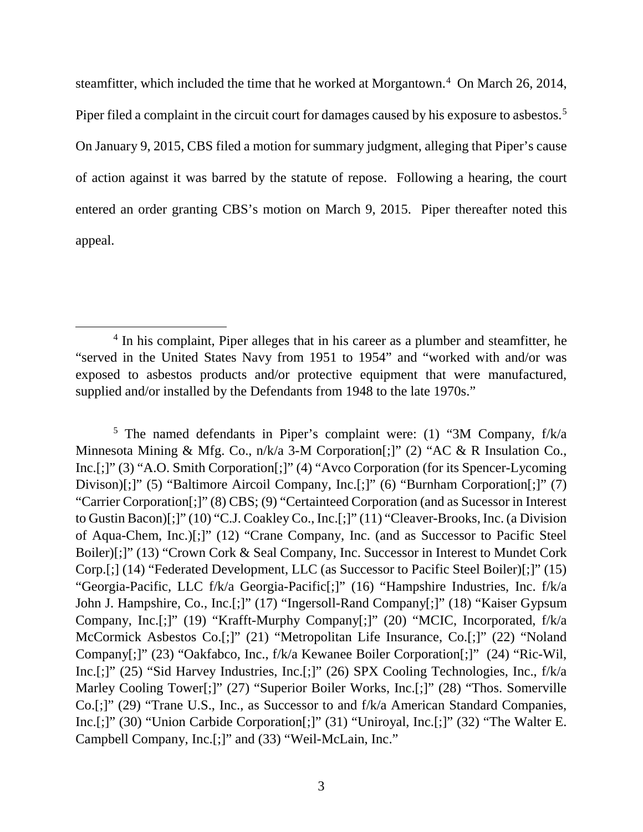steamfitter, which included the time that he worked at Morgantown.<sup>[4](#page-3-0)</sup> On March 26, 2014, Piper filed a complaint in the circuit court for damages caused by his exposure to asbestos.<sup>[5](#page-3-1)</sup> On January 9, 2015, CBS filed a motion for summary judgment, alleging that Piper's cause of action against it was barred by the statute of repose. Following a hearing, the court entered an order granting CBS's motion on March 9, 2015. Piper thereafter noted this appeal.

<span id="page-3-1"></span><sup>5</sup> The named defendants in Piper's complaint were: (1) "3M Company,  $f/k/a$ Minnesota Mining & Mfg. Co., n/k/a 3-M Corporation[;]" (2) "AC & R Insulation Co., Inc.[;]" (3) "A.O. Smith Corporation[;]" (4) "Avco Corporation (for its Spencer-Lycoming Divison)[;]" (5) "Baltimore Aircoil Company, Inc.[;]" (6) "Burnham Corporation[;]" (7) "Carrier Corporation[;]" (8) CBS; (9) "Certainteed Corporation (and as Sucessor in Interest to Gustin Bacon)[;]" (10) "C.J. Coakley Co., Inc.[;]" (11) "Cleaver-Brooks, Inc. (a Division of Aqua-Chem, Inc.)[;]" (12) "Crane Company, Inc. (and as Successor to Pacific Steel Boiler)[;]" (13) "Crown Cork & Seal Company, Inc. Successor in Interest to Mundet Cork Corp.[;] (14) "Federated Development, LLC (as Successor to Pacific Steel Boiler)[;]" (15) "Georgia-Pacific, LLC f/k/a Georgia-Pacific[;]" (16) "Hampshire Industries, Inc. f/k/a John J. Hampshire, Co., Inc.[;]" (17) "Ingersoll-Rand Company[;]" (18) "Kaiser Gypsum Company, Inc.[;]" (19) "Krafft-Murphy Company[;]" (20) "MCIC, Incorporated, f/k/a McCormick Asbestos Co.[;]" (21) "Metropolitan Life Insurance, Co.[;]" (22) "Noland Company[;]" (23) "Oakfabco, Inc., f/k/a Kewanee Boiler Corporation[;]" (24) "Ric-Wil, Inc.[;]" (25) "Sid Harvey Industries, Inc.[;]" (26) SPX Cooling Technologies, Inc., f/k/a Marley Cooling Tower<sup>[;]"</sup> (27) "Superior Boiler Works, Inc.<sup>[:]"</sup> (28) "Thos. Somerville Co.[;]" (29) "Trane U.S., Inc., as Successor to and f/k/a American Standard Companies, Inc.[;]" (30) "Union Carbide Corporation[;]" (31) "Uniroyal, Inc.[;]" (32) "The Walter E. Campbell Company, Inc.[;]" and (33) "Weil-McLain, Inc."

<span id="page-3-0"></span><sup>&</sup>lt;sup>4</sup> In his complaint, Piper alleges that in his career as a plumber and steamfitter, he "served in the United States Navy from 1951 to 1954" and "worked with and/or was exposed to asbestos products and/or protective equipment that were manufactured, supplied and/or installed by the Defendants from 1948 to the late 1970s."  $\overline{\phantom{a}}$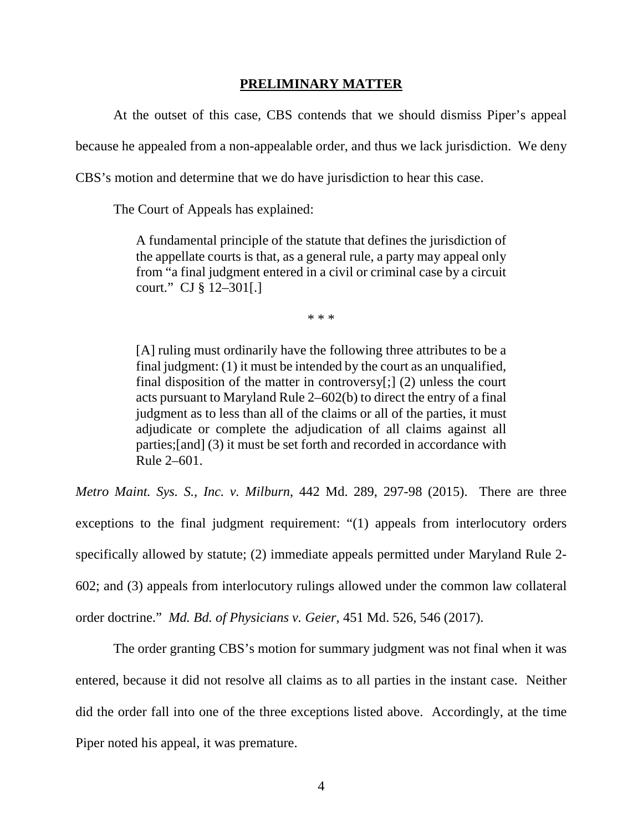### **PRELIMINARY MATTER**

At the outset of this case, CBS contends that we should dismiss Piper's appeal

because he appealed from a non-appealable order, and thus we lack jurisdiction. We deny

CBS's motion and determine that we do have jurisdiction to hear this case.

The Court of Appeals has explained:

A fundamental principle of the statute that defines the jurisdiction of the appellate courts is that, as a general rule, a party may appeal only from "a final judgment entered in a civil or criminal case by a circuit court." CJ § 12–301[.]

\* \* \*

[A] ruling must ordinarily have the following three attributes to be a final judgment: (1) it must be intended by the court as an unqualified, final disposition of the matter in controversy[;] (2) unless the court acts pursuant to Maryland Rule 2–602(b) to direct the entry of a final judgment as to less than all of the claims or all of the parties, it must adjudicate or complete the adjudication of all claims against all parties;[and] (3) it must be set forth and recorded in accordance with Rule 2–601.

*Metro Maint. Sys. S., Inc. v. Milburn*, 442 Md. 289, 297-98 (2015). There are three exceptions to the final judgment requirement: "(1) appeals from interlocutory orders specifically allowed by statute; (2) immediate appeals permitted under Maryland Rule 2- 602; and (3) appeals from interlocutory rulings allowed under the common law collateral order doctrine." *Md. Bd. of Physicians v. Geier*, 451 Md. 526, 546 (2017).

The order granting CBS's motion for summary judgment was not final when it was entered, because it did not resolve all claims as to all parties in the instant case. Neither did the order fall into one of the three exceptions listed above. Accordingly, at the time Piper noted his appeal, it was premature.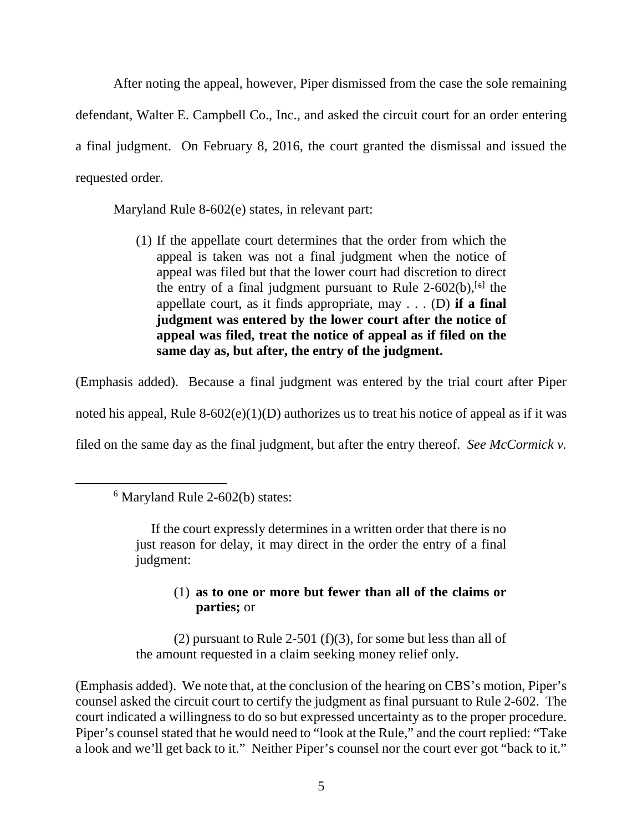After noting the appeal, however, Piper dismissed from the case the sole remaining defendant, Walter E. Campbell Co., Inc., and asked the circuit court for an order entering a final judgment. On February 8, 2016, the court granted the dismissal and issued the requested order.

Maryland Rule 8-602(e) states, in relevant part:

(1) If the appellate court determines that the order from which the appeal is taken was not a final judgment when the notice of appeal was filed but that the lower court had discretion to direct the entry of a final judgment pursuant to Rule  $2-602(b)$  $2-602(b)$  $2-602(b)$ ,  $[6]$  the appellate court, as it finds appropriate, may . . . (D) **if a final judgment was entered by the lower court after the notice of appeal was filed, treat the notice of appeal as if filed on the same day as, but after, the entry of the judgment.**

(Emphasis added). Because a final judgment was entered by the trial court after Piper

noted his appeal, Rule  $8-602(e)(1)(D)$  authorizes us to treat his notice of appeal as if it was

filed on the same day as the final judgment, but after the entry thereof. *See McCormick v.* 

<span id="page-5-0"></span>l

If the court expressly determines in a written order that there is no just reason for delay, it may direct in the order the entry of a final judgment:

# (1) **as to one or more but fewer than all of the claims or parties;** or

(2) pursuant to Rule 2-501 (f)(3), for some but less than all of the amount requested in a claim seeking money relief only.

(Emphasis added). We note that, at the conclusion of the hearing on CBS's motion, Piper's counsel asked the circuit court to certify the judgment as final pursuant to Rule 2-602. The court indicated a willingness to do so but expressed uncertainty as to the proper procedure. Piper's counsel stated that he would need to "look at the Rule," and the court replied: "Take a look and we'll get back to it." Neither Piper's counsel nor the court ever got "back to it."

<sup>&</sup>lt;sup>6</sup> Maryland Rule 2-602(b) states: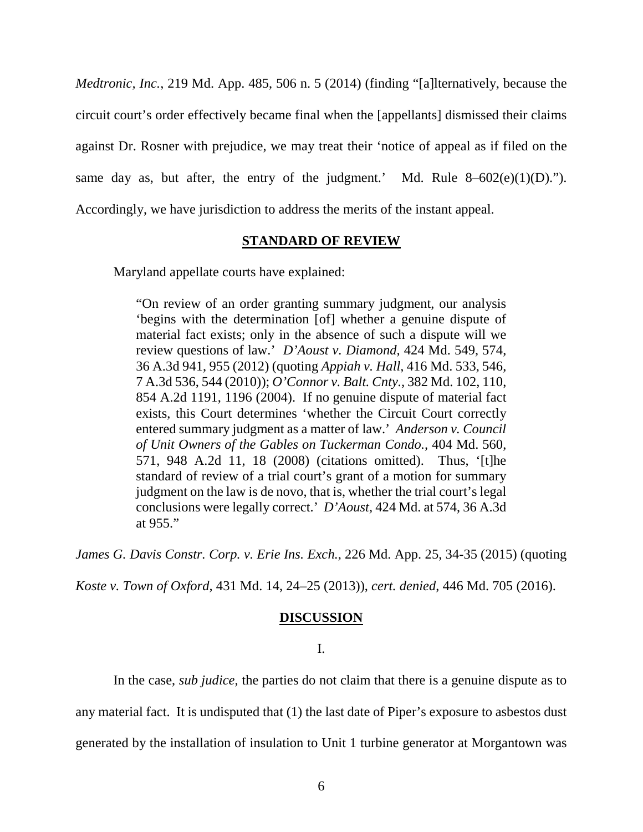*Medtronic, Inc.*, 219 Md. App. 485, 506 n. 5 (2014) (finding "[a]lternatively, because the circuit court's order effectively became final when the [appellants] dismissed their claims against Dr. Rosner with prejudice, we may treat their 'notice of appeal as if filed on the same day as, but after, the entry of the judgment.' Md. Rule  $8-602(e)(1)(D)$ ."). Accordingly, we have jurisdiction to address the merits of the instant appeal.

### **STANDARD OF REVIEW**

Maryland appellate courts have explained:

"On review of an order granting summary judgment, our analysis 'begins with the determination [of] whether a genuine dispute of material fact exists; only in the absence of such a dispute will we review questions of law.' *D'Aoust v. Diamond,* 424 Md. 549, 574, 36 A.3d 941, 955 (2012) (quoting *Appiah v. Hall,* 416 Md. 533, 546, 7 A.3d 536, 544 (2010)); *O'Connor v. Balt. Cnty.,* 382 Md. 102, 110, 854 A.2d 1191, 1196 (2004). If no genuine dispute of material fact exists, this Court determines 'whether the Circuit Court correctly entered summary judgment as a matter of law.' *Anderson v. Council of Unit Owners of the Gables on Tuckerman Condo.,* 404 Md. 560, 571, 948 A.2d 11, 18 (2008) (citations omitted). Thus, '[t]he standard of review of a trial court's grant of a motion for summary judgment on the law is de novo, that is, whether the trial court's legal conclusions were legally correct.' *D'Aoust,* 424 Md. at 574, 36 A.3d at 955."

*James G. Davis Constr. Corp. v. Erie Ins. Exch.*, 226 Md. App. 25, 34-35 (2015) (quoting

*Koste v. Town of Oxford,* 431 Md. 14, 24–25 (2013)), *cert. denied*, 446 Md. 705 (2016).

#### **DISCUSSION**

# I.

In the case, *sub judice*, the parties do not claim that there is a genuine dispute as to

any material fact. It is undisputed that (1) the last date of Piper's exposure to asbestos dust

generated by the installation of insulation to Unit 1 turbine generator at Morgantown was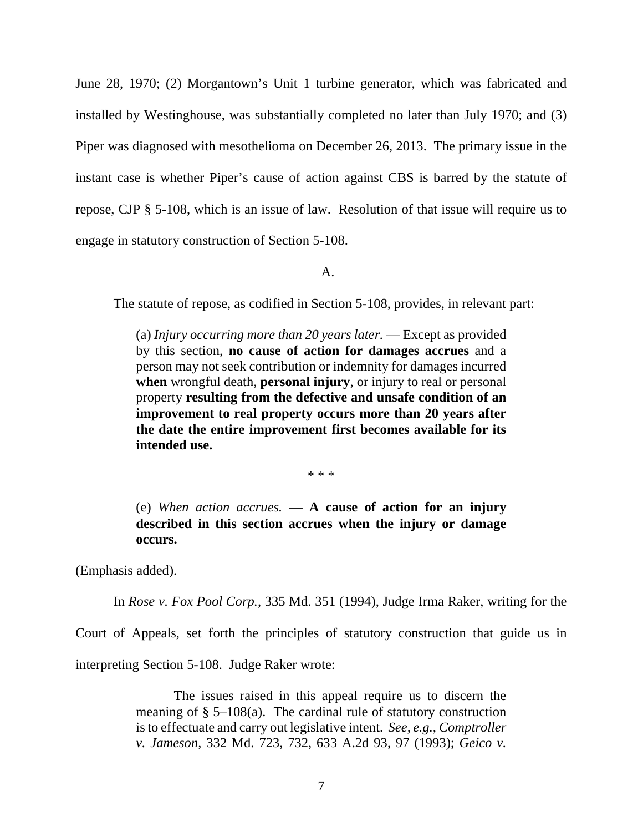June 28, 1970; (2) Morgantown's Unit 1 turbine generator, which was fabricated and installed by Westinghouse, was substantially completed no later than July 1970; and (3) Piper was diagnosed with mesothelioma on December 26, 2013. The primary issue in the instant case is whether Piper's cause of action against CBS is barred by the statute of repose, CJP § 5-108, which is an issue of law. Resolution of that issue will require us to engage in statutory construction of Section 5-108.

A.

The statute of repose, as codified in Section 5-108, provides, in relevant part:

(a) *Injury occurring more than 20 years later.* — Except as provided by this section, **no cause of action for damages accrues** and a person may not seek contribution or indemnity for damages incurred **when** wrongful death, **personal injury**, or injury to real or personal property **resulting from the defective and unsafe condition of an improvement to real property occurs more than 20 years after the date the entire improvement first becomes available for its intended use.**

\* \* \*

(e) *When action accrues.* — **A cause of action for an injury described in this section accrues when the injury or damage occurs.**

(Emphasis added).

In *Rose v. Fox Pool Corp.*, 335 Md. 351 (1994), Judge Irma Raker, writing for the

Court of Appeals, set forth the principles of statutory construction that guide us in

interpreting Section 5-108. Judge Raker wrote:

The issues raised in this appeal require us to discern the meaning of § 5–108(a). The cardinal rule of statutory construction is to effectuate and carry out legislative intent. *See, e.g., Comptroller v. Jameson,* 332 Md. 723, 732, 633 A.2d 93, 97 (1993); *Geico v.*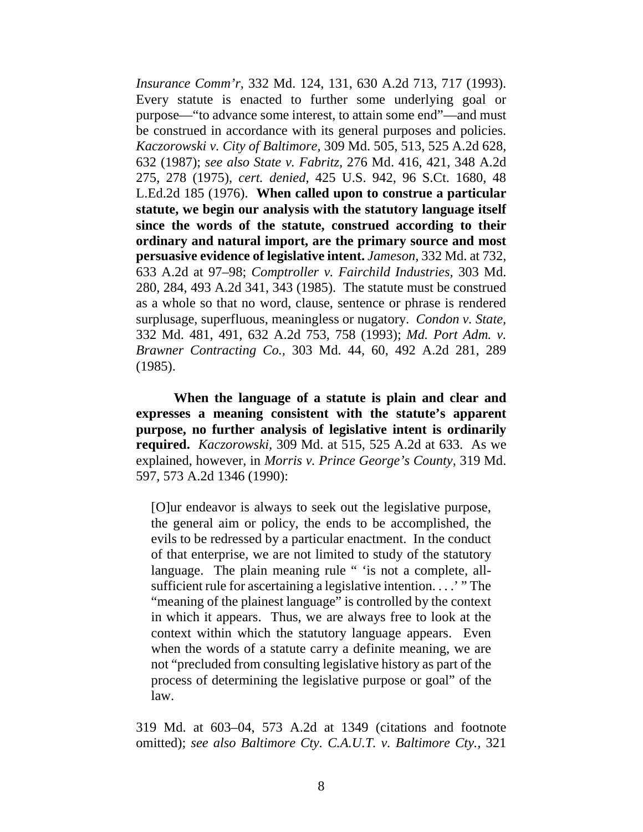*Insurance Comm'r,* 332 Md. 124, 131, 630 A.2d 713, 717 (1993). Every statute is enacted to further some underlying goal or purpose—"to advance some interest, to attain some end"—and must be construed in accordance with its general purposes and policies. *Kaczorowski v. City of Baltimore,* 309 Md. 505, 513, 525 A.2d 628, 632 (1987); *see also State v. Fabritz,* 276 Md. 416, 421, 348 A.2d 275, 278 (1975), *cert. denied,* 425 U.S. 942, 96 S.Ct. 1680, 48 L.Ed.2d 185 (1976). **When called upon to construe a particular statute, we begin our analysis with the statutory language itself since the words of the statute, construed according to their ordinary and natural import, are the primary source and most persuasive evidence of legislative intent.** *Jameson,* 332 Md. at 732, 633 A.2d at 97–98; *Comptroller v. Fairchild Industries,* 303 Md. 280, 284, 493 A.2d 341, 343 (1985). The statute must be construed as a whole so that no word, clause, sentence or phrase is rendered surplusage, superfluous, meaningless or nugatory. *Condon v. State,* 332 Md. 481, 491, 632 A.2d 753, 758 (1993); *Md. Port Adm. v. Brawner Contracting Co.,* 303 Md. 44, 60, 492 A.2d 281, 289 (1985).

**When the language of a statute is plain and clear and expresses a meaning consistent with the statute's apparent purpose, no further analysis of legislative intent is ordinarily required.** *Kaczorowski,* 309 Md. at 515, 525 A.2d at 633. As we explained, however, in *Morris v. Prince George's County,* 319 Md. 597, 573 A.2d 1346 (1990):

[O]ur endeavor is always to seek out the legislative purpose, the general aim or policy, the ends to be accomplished, the evils to be redressed by a particular enactment. In the conduct of that enterprise, we are not limited to study of the statutory language. The plain meaning rule " 'is not a complete, allsufficient rule for ascertaining a legislative intention. . . .' " The "meaning of the plainest language" is controlled by the context in which it appears. Thus, we are always free to look at the context within which the statutory language appears. Even when the words of a statute carry a definite meaning, we are not "precluded from consulting legislative history as part of the process of determining the legislative purpose or goal" of the law.

319 Md. at 603–04, 573 A.2d at 1349 (citations and footnote omitted); *see also Baltimore Cty. C.A.U.T. v. Baltimore Cty.,* 321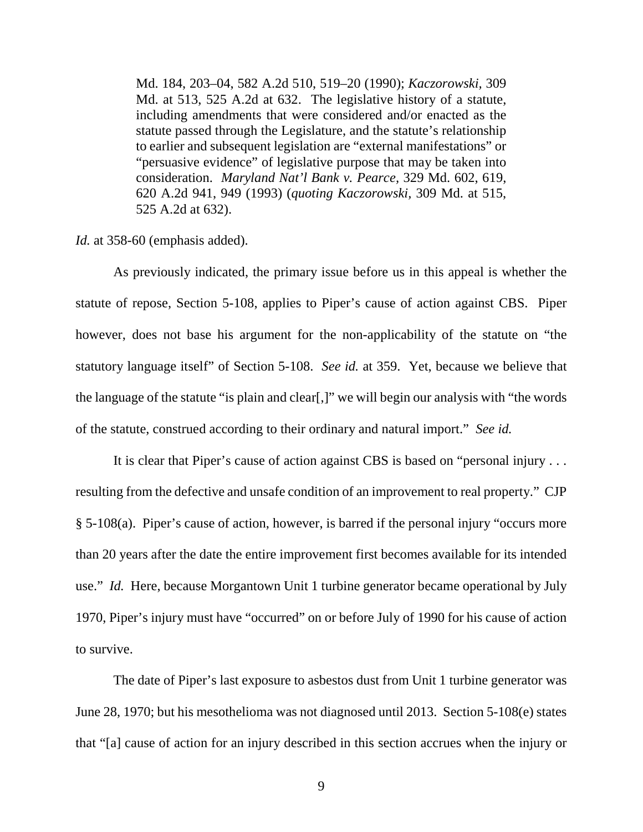Md. 184, 203–04, 582 A.2d 510, 519–20 (1990); *Kaczorowski,* 309 Md. at 513, 525 A.2d at 632. The legislative history of a statute, including amendments that were considered and/or enacted as the statute passed through the Legislature, and the statute's relationship to earlier and subsequent legislation are "external manifestations" or "persuasive evidence" of legislative purpose that may be taken into consideration. *Maryland Nat'l Bank v. Pearce,* 329 Md. 602, 619, 620 A.2d 941, 949 (1993) (*quoting Kaczorowski,* 309 Md. at 515, 525 A.2d at 632).

*Id.* at 358-60 (emphasis added).

As previously indicated, the primary issue before us in this appeal is whether the statute of repose, Section 5-108, applies to Piper's cause of action against CBS. Piper however, does not base his argument for the non-applicability of the statute on "the statutory language itself" of Section 5-108. *See id.* at 359. Yet, because we believe that the language of the statute "is plain and clear[,]" we will begin our analysis with "the words of the statute, construed according to their ordinary and natural import." *See id.*

It is clear that Piper's cause of action against CBS is based on "personal injury . . . resulting from the defective and unsafe condition of an improvement to real property." CJP § 5-108(a). Piper's cause of action, however, is barred if the personal injury "occurs more than 20 years after the date the entire improvement first becomes available for its intended use." *Id.* Here, because Morgantown Unit 1 turbine generator became operational by July 1970, Piper's injury must have "occurred" on or before July of 1990 for his cause of action to survive.

The date of Piper's last exposure to asbestos dust from Unit 1 turbine generator was June 28, 1970; but his mesothelioma was not diagnosed until 2013. Section 5-108(e) states that "[a] cause of action for an injury described in this section accrues when the injury or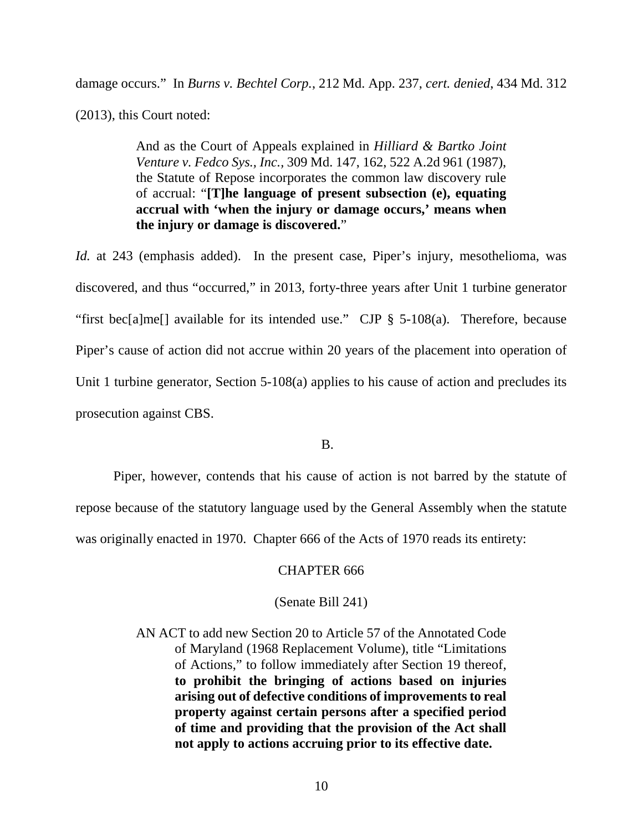damage occurs." In *Burns v. Bechtel Corp.*, 212 Md. App. 237, *cert. denied*, 434 Md. 312

(2013), this Court noted:

And as the Court of Appeals explained in *Hilliard & Bartko Joint Venture v. Fedco Sys., Inc.,* 309 Md. 147, 162, 522 A.2d 961 (1987), the Statute of Repose incorporates the common law discovery rule of accrual: "**[T]he language of present subsection (e), equating accrual with 'when the injury or damage occurs,' means when the injury or damage is discovered.**"

*Id.* at 243 (emphasis added). In the present case, Piper's injury, mesothelioma, was discovered, and thus "occurred," in 2013, forty-three years after Unit 1 turbine generator "first bec[a]me[] available for its intended use." CJP § 5-108(a). Therefore, because Piper's cause of action did not accrue within 20 years of the placement into operation of Unit 1 turbine generator, Section 5-108(a) applies to his cause of action and precludes its prosecution against CBS.

B.

Piper, however, contends that his cause of action is not barred by the statute of repose because of the statutory language used by the General Assembly when the statute was originally enacted in 1970. Chapter 666 of the Acts of 1970 reads its entirety:

### CHAPTER 666

## (Senate Bill 241)

AN ACT to add new Section 20 to Article 57 of the Annotated Code of Maryland (1968 Replacement Volume), title "Limitations of Actions," to follow immediately after Section 19 thereof, **to prohibit the bringing of actions based on injuries arising out of defective conditions of improvements to real property against certain persons after a specified period of time and providing that the provision of the Act shall not apply to actions accruing prior to its effective date.**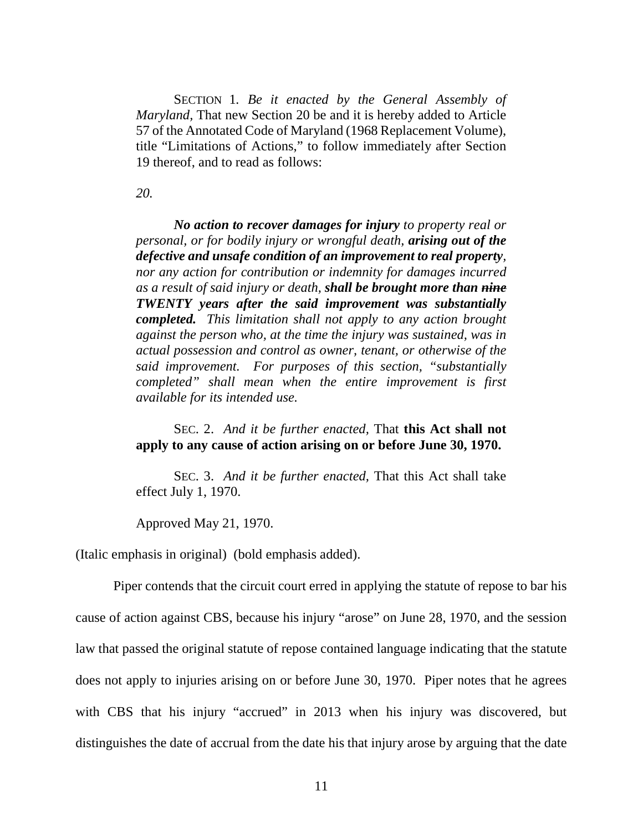SECTION 1*. Be it enacted by the General Assembly of Maryland,* That new Section 20 be and it is hereby added to Article 57 of the Annotated Code of Maryland (1968 Replacement Volume), title "Limitations of Actions," to follow immediately after Section 19 thereof, and to read as follows:

*20.* 

*No action to recover damages for injury to property real or personal, or for bodily injury or wrongful death, arising out of the defective and unsafe condition of an improvement to real property, nor any action for contribution or indemnity for damages incurred as a result of said injury or death, shall be brought more than nine TWENTY years after the said improvement was substantially completed. This limitation shall not apply to any action brought against the person who, at the time the injury was sustained, was in actual possession and control as owner, tenant, or otherwise of the said improvement. For purposes of this section, "substantially completed" shall mean when the entire improvement is first available for its intended use.* 

 SEC. 2. *And it be further enacted,* That **this Act shall not apply to any cause of action arising on or before June 30, 1970.**

 SEC. 3. *And it be further enacted,* That this Act shall take effect July 1, 1970.

Approved May 21, 1970.

(Italic emphasis in original) (bold emphasis added).

Piper contends that the circuit court erred in applying the statute of repose to bar his cause of action against CBS, because his injury "arose" on June 28, 1970, and the session law that passed the original statute of repose contained language indicating that the statute does not apply to injuries arising on or before June 30, 1970. Piper notes that he agrees with CBS that his injury "accrued" in 2013 when his injury was discovered, but distinguishes the date of accrual from the date his that injury arose by arguing that the date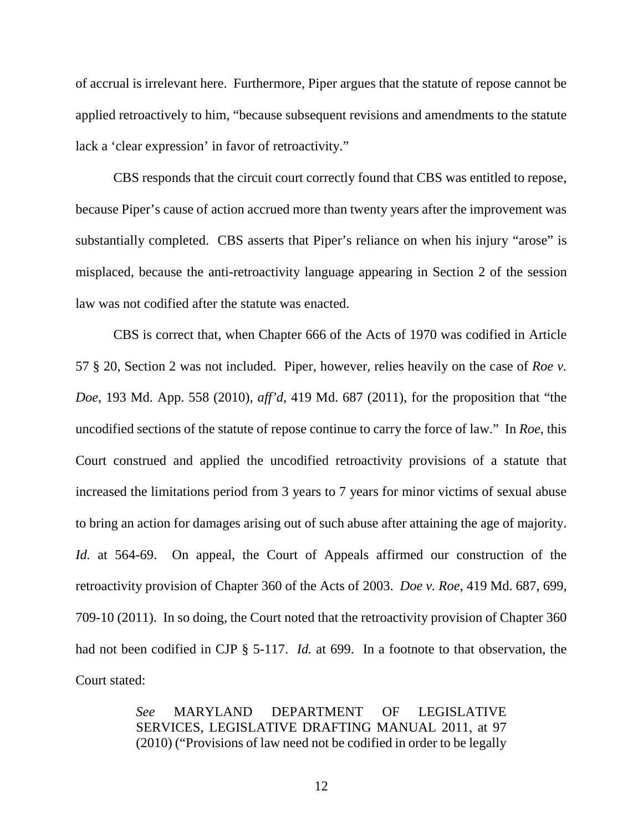of accrual is irrelevant here. Furthermore, Piper argues that the statute of repose cannot be applied retroactively to him, "because subsequent revisions and amendments to the statute lack a 'clear expression' in favor of retroactivity."

CBS responds that the circuit court correctly found that CBS was entitled to repose, because Piper's cause of action accrued more than twenty years after the improvement was substantially completed. CBS asserts that Piper's reliance on when his injury "arose" is misplaced, because the anti-retroactivity language appearing in Section 2 of the session law was not codified after the statute was enacted.

CBS is correct that, when Chapter 666 of the Acts of 1970 was codified in Article 57 § 20, Section 2 was not included. Piper, however, relies heavily on the case of *Roe v. Doe*, 193 Md. App. 558 (2010), *aff'd*, 419 Md. 687 (2011), for the proposition that "the uncodified sections of the statute of repose continue to carry the force of law." In *Roe*, this Court construed and applied the uncodified retroactivity provisions of a statute that increased the limitations period from 3 years to 7 years for minor victims of sexual abuse to bring an action for damages arising out of such abuse after attaining the age of majority. *Id.* at 564-69. On appeal, the Court of Appeals affirmed our construction of the retroactivity provision of Chapter 360 of the Acts of 2003. *Doe v. Roe*, 419 Md. 687, 699, 709-10 (2011). In so doing, the Court noted that the retroactivity provision of Chapter 360 had not been codified in CJP § 5-117. *Id.* at 699. In a footnote to that observation, the Court stated:

> *See* MARYLAND DEPARTMENT OF LEGISLATIVE SERVICES, LEGISLATIVE DRAFTING MANUAL 2011, at 97 (2010) ("Provisions of law need not be codified in order to be legally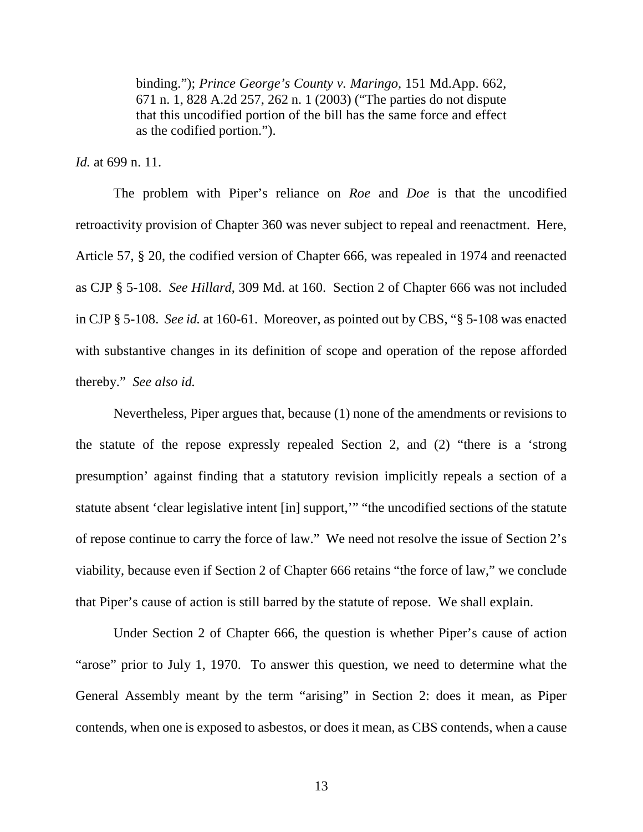binding."); *Prince George's County v. Maringo,* 151 Md.App. 662, 671 n. 1, 828 A.2d 257, 262 n. 1 (2003) ("The parties do not dispute that this uncodified portion of the bill has the same force and effect as the codified portion.").

*Id.* at 699 n. 11.

The problem with Piper's reliance on *Roe* and *Doe* is that the uncodified retroactivity provision of Chapter 360 was never subject to repeal and reenactment. Here, Article 57, § 20, the codified version of Chapter 666, was repealed in 1974 and reenacted as CJP § 5-108. *See Hillard*, 309 Md. at 160. Section 2 of Chapter 666 was not included in CJP § 5-108. *See id.* at 160-61. Moreover, as pointed out by CBS, "§ 5-108 was enacted with substantive changes in its definition of scope and operation of the repose afforded thereby." *See also id.*

Nevertheless, Piper argues that, because (1) none of the amendments or revisions to the statute of the repose expressly repealed Section 2, and (2) "there is a 'strong presumption' against finding that a statutory revision implicitly repeals a section of a statute absent 'clear legislative intent [in] support,'" "the uncodified sections of the statute of repose continue to carry the force of law." We need not resolve the issue of Section 2's viability, because even if Section 2 of Chapter 666 retains "the force of law," we conclude that Piper's cause of action is still barred by the statute of repose. We shall explain.

Under Section 2 of Chapter 666, the question is whether Piper's cause of action "arose" prior to July 1, 1970. To answer this question, we need to determine what the General Assembly meant by the term "arising" in Section 2: does it mean, as Piper contends, when one is exposed to asbestos, or does it mean, as CBS contends, when a cause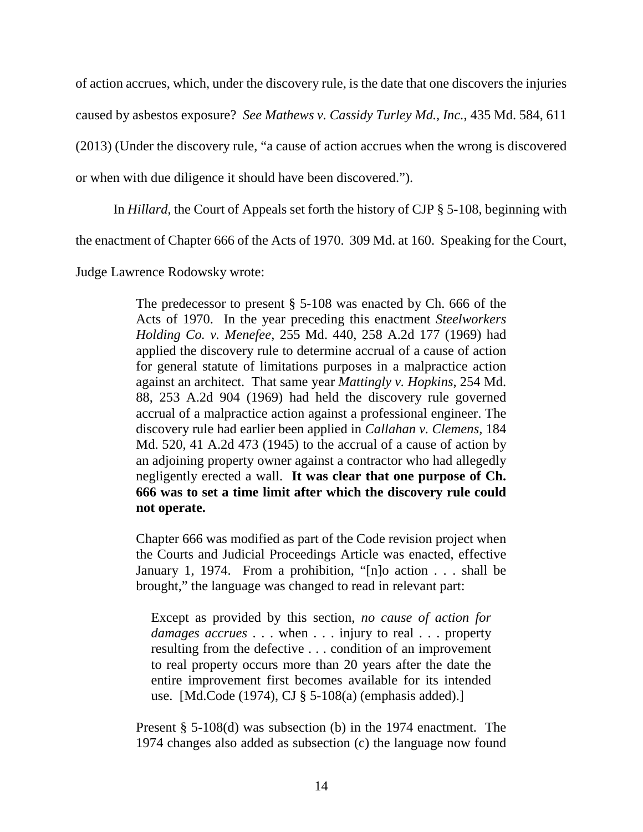of action accrues, which, under the discovery rule, is the date that one discovers the injuries caused by asbestos exposure? *See Mathews v. Cassidy Turley Md., Inc.*, 435 Md. 584, 611 (2013) (Under the discovery rule, "a cause of action accrues when the wrong is discovered or when with due diligence it should have been discovered.").

In *Hillard*, the Court of Appeals set forth the history of CJP § 5-108, beginning with

the enactment of Chapter 666 of the Acts of 1970. 309 Md. at 160. Speaking for the Court,

Judge Lawrence Rodowsky wrote:

The predecessor to present § 5-108 was enacted by Ch. 666 of the Acts of 1970. In the year preceding this enactment *Steelworkers Holding Co. v. Menefee,* 255 Md. 440, 258 A.2d 177 (1969) had applied the discovery rule to determine accrual of a cause of action for general statute of limitations purposes in a malpractice action against an architect. That same year *Mattingly v. Hopkins,* 254 Md. 88, 253 A.2d 904 (1969) had held the discovery rule governed accrual of a malpractice action against a professional engineer. The discovery rule had earlier been applied in *Callahan v. Clemens,* 184 Md. 520, 41 A.2d 473 (1945) to the accrual of a cause of action by an adjoining property owner against a contractor who had allegedly negligently erected a wall. **It was clear that one purpose of Ch. 666 was to set a time limit after which the discovery rule could not operate.** 

Chapter 666 was modified as part of the Code revision project when the Courts and Judicial Proceedings Article was enacted, effective January 1, 1974. From a prohibition, "[n]o action . . . shall be brought," the language was changed to read in relevant part:

Except as provided by this section, *no cause of action for damages accrues* . . . when . . . injury to real . . . property resulting from the defective . . . condition of an improvement to real property occurs more than 20 years after the date the entire improvement first becomes available for its intended use. [Md.Code (1974), CJ § 5-108(a) (emphasis added).]

Present § 5-108(d) was subsection (b) in the 1974 enactment. The 1974 changes also added as subsection (c) the language now found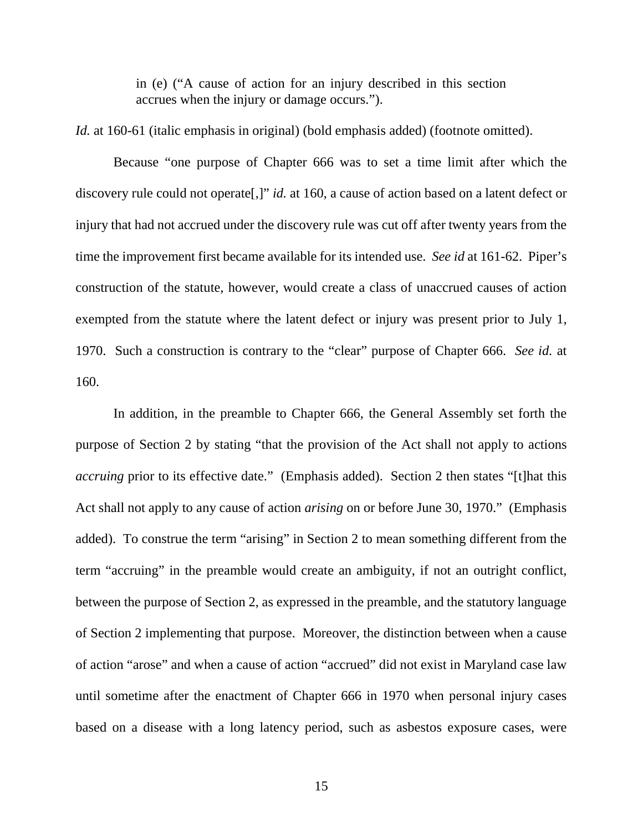in (e) ("A cause of action for an injury described in this section accrues when the injury or damage occurs.").

*Id.* at 160-61 (italic emphasis in original) (bold emphasis added) (footnote omitted).

Because "one purpose of Chapter 666 was to set a time limit after which the discovery rule could not operate[,]" *id.* at 160, a cause of action based on a latent defect or injury that had not accrued under the discovery rule was cut off after twenty years from the time the improvement first became available for its intended use. *See id* at 161-62. Piper's construction of the statute, however, would create a class of unaccrued causes of action exempted from the statute where the latent defect or injury was present prior to July 1, 1970. Such a construction is contrary to the "clear" purpose of Chapter 666. *See id.* at 160.

In addition, in the preamble to Chapter 666, the General Assembly set forth the purpose of Section 2 by stating "that the provision of the Act shall not apply to actions *accruing* prior to its effective date." (Emphasis added). Section 2 then states "[t]hat this Act shall not apply to any cause of action *arising* on or before June 30, 1970." (Emphasis added). To construe the term "arising" in Section 2 to mean something different from the term "accruing" in the preamble would create an ambiguity, if not an outright conflict, between the purpose of Section 2, as expressed in the preamble, and the statutory language of Section 2 implementing that purpose. Moreover, the distinction between when a cause of action "arose" and when a cause of action "accrued" did not exist in Maryland case law until sometime after the enactment of Chapter 666 in 1970 when personal injury cases based on a disease with a long latency period, such as asbestos exposure cases, were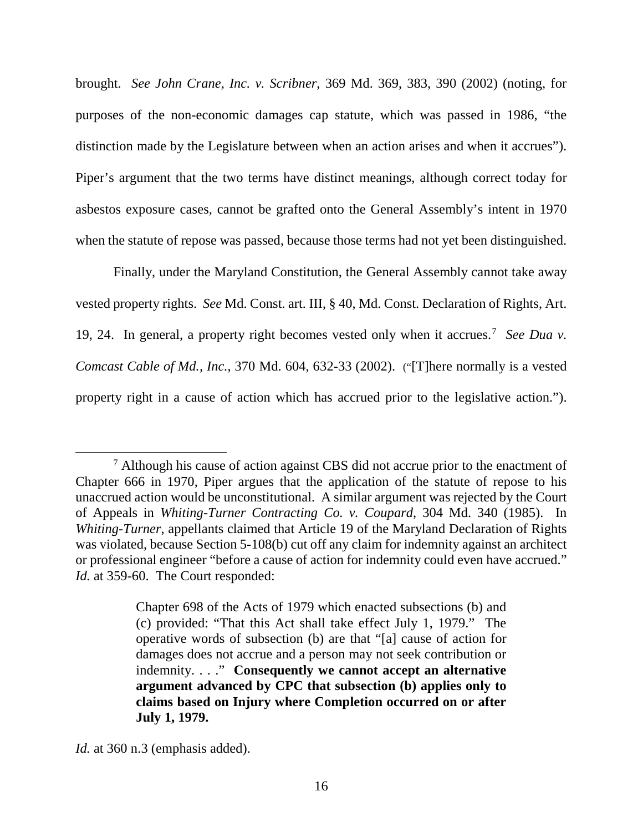brought. *See John Crane, Inc. v. Scribner*, 369 Md. 369, 383, 390 (2002) (noting, for purposes of the non-economic damages cap statute, which was passed in 1986, "the distinction made by the Legislature between when an action arises and when it accrues"). Piper's argument that the two terms have distinct meanings, although correct today for asbestos exposure cases, cannot be grafted onto the General Assembly's intent in 1970 when the statute of repose was passed, because those terms had not yet been distinguished.

Finally, under the Maryland Constitution, the General Assembly cannot take away vested property rights. *See* Md. Const. art. III, § 40, Md. Const. Declaration of Rights, Art. 19, 24. In general, a property right becomes vested only when it accrues.[7](#page-16-0) *See Dua v. Comcast Cable of Md., Inc.*, 370 Md. 604, 632-33 (2002).("[T]here normally is a vested property right in a cause of action which has accrued prior to the legislative action.").

*Id.* at 360 n.3 (emphasis added).

l

<span id="page-16-0"></span><sup>&</sup>lt;sup>7</sup> Although his cause of action against CBS did not accrue prior to the enactment of Chapter 666 in 1970, Piper argues that the application of the statute of repose to his unaccrued action would be unconstitutional. A similar argument was rejected by the Court of Appeals in *Whiting-Turner Contracting Co. v. Coupard*, 304 Md. 340 (1985). In *Whiting-Turner*, appellants claimed that Article 19 of the Maryland Declaration of Rights was violated, because Section 5-108(b) cut off any claim for indemnity against an architect or professional engineer "before a cause of action for indemnity could even have accrued." *Id.* at 359-60. The Court responded:

Chapter 698 of the Acts of 1979 which enacted subsections (b) and (c) provided: "That this Act shall take effect July 1, 1979." The operative words of subsection (b) are that "[a] cause of action for damages does not accrue and a person may not seek contribution or indemnity. . . ." **Consequently we cannot accept an alternative argument advanced by CPC that subsection (b) applies only to claims based on Injury where Completion occurred on or after July 1, 1979.**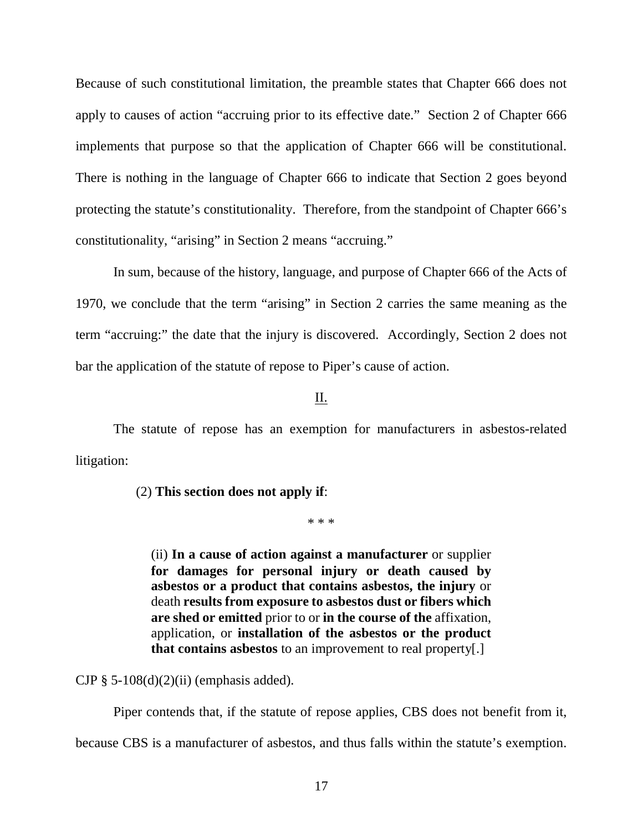Because of such constitutional limitation, the preamble states that Chapter 666 does not apply to causes of action "accruing prior to its effective date." Section 2 of Chapter 666 implements that purpose so that the application of Chapter 666 will be constitutional. There is nothing in the language of Chapter 666 to indicate that Section 2 goes beyond protecting the statute's constitutionality. Therefore, from the standpoint of Chapter 666's constitutionality, "arising" in Section 2 means "accruing."

In sum, because of the history, language, and purpose of Chapter 666 of the Acts of 1970, we conclude that the term "arising" in Section 2 carries the same meaning as the term "accruing:" the date that the injury is discovered. Accordingly, Section 2 does not bar the application of the statute of repose to Piper's cause of action.

### II.

The statute of repose has an exemption for manufacturers in asbestos-related litigation:

(2) **This section does not apply if**:

\* \* \*

(ii) **In a cause of action against a manufacturer** or supplier **for damages for personal injury or death caused by asbestos or a product that contains asbestos, the injury** or death **results from exposure to asbestos dust or fibers which are shed or emitted** prior to or **in the course of the** affixation, application, or **installation of the asbestos or the product that contains asbestos** to an improvement to real property[.]

CJP  $\S$  5-108(d)(2)(ii) (emphasis added).

Piper contends that, if the statute of repose applies, CBS does not benefit from it,

because CBS is a manufacturer of asbestos, and thus falls within the statute's exemption.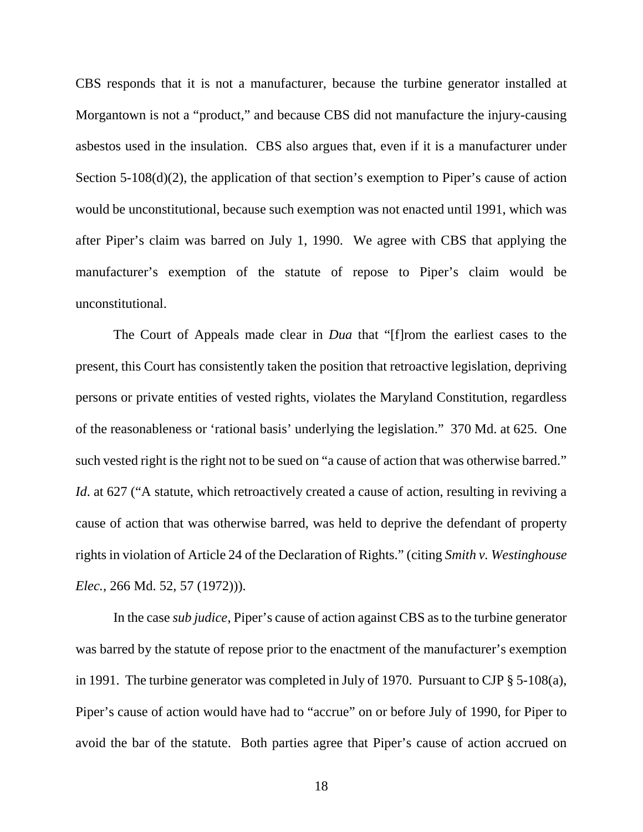CBS responds that it is not a manufacturer, because the turbine generator installed at Morgantown is not a "product," and because CBS did not manufacture the injury-causing asbestos used in the insulation. CBS also argues that, even if it is a manufacturer under Section 5-108(d)(2), the application of that section's exemption to Piper's cause of action would be unconstitutional, because such exemption was not enacted until 1991, which was after Piper's claim was barred on July 1, 1990. We agree with CBS that applying the manufacturer's exemption of the statute of repose to Piper's claim would be unconstitutional.

The Court of Appeals made clear in *Dua* that "[f]rom the earliest cases to the present, this Court has consistently taken the position that retroactive legislation, depriving persons or private entities of vested rights, violates the Maryland Constitution, regardless of the reasonableness or 'rational basis' underlying the legislation." 370 Md. at 625. One such vested right is the right not to be sued on "a cause of action that was otherwise barred." *Id.* at 627 ("A statute, which retroactively created a cause of action, resulting in reviving a cause of action that was otherwise barred, was held to deprive the defendant of property rights in violation of Article 24 of the Declaration of Rights." (citing *Smith v. Westinghouse Elec.*, 266 Md. 52, 57 (1972))).

In the case *sub judice*, Piper's cause of action against CBS as to the turbine generator was barred by the statute of repose prior to the enactment of the manufacturer's exemption in 1991. The turbine generator was completed in July of 1970. Pursuant to CJP § 5-108(a), Piper's cause of action would have had to "accrue" on or before July of 1990, for Piper to avoid the bar of the statute. Both parties agree that Piper's cause of action accrued on